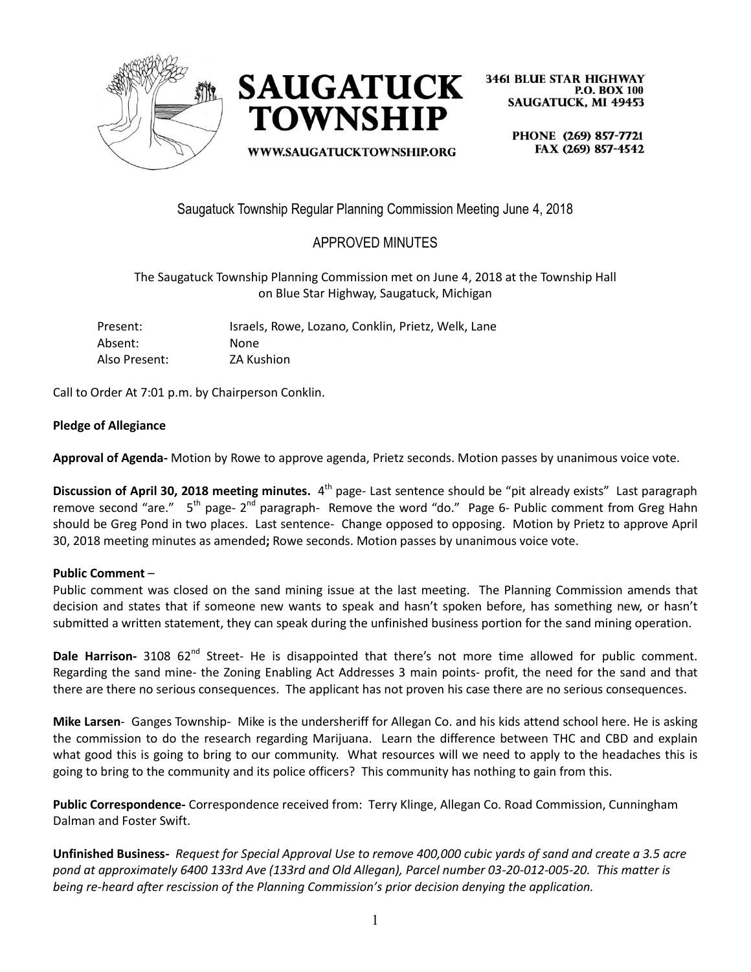



**3461 BLUE STAR HIGHWAY P.O. BOX 100 SAUGATUCK, MI 49453** 

WWW.SAUGATUCKTOWNSHIP.ORG

PHONE (269) 857-7721 FAX (269) 857-4542

Saugatuck Township Regular Planning Commission Meeting June 4, 2018

# APPROVED MINUTES

The Saugatuck Township Planning Commission met on June 4, 2018 at the Township Hall on Blue Star Highway, Saugatuck, Michigan

| Present:      | Israels, Rowe, Lozano, Conklin, Prietz, Welk, Lane |
|---------------|----------------------------------------------------|
| Absent:       | <b>None</b>                                        |
| Also Present: | ZA Kushion                                         |

Call to Order At 7:01 p.m. by Chairperson Conklin.

#### **Pledge of Allegiance**

**Approval of Agenda-** Motion by Rowe to approve agenda, Prietz seconds. Motion passes by unanimous voice vote.

**Discussion of April 30, 2018 meeting minutes.** 4<sup>th</sup> page- Last sentence should be "pit already exists" Last paragraph remove second "are." 5<sup>th</sup> page- 2<sup>nd</sup> paragraph- Remove the word "do." Page 6- Public comment from Greg Hahn should be Greg Pond in two places. Last sentence- Change opposed to opposing. Motion by Prietz to approve April 30, 2018 meeting minutes as amended**;** Rowe seconds. Motion passes by unanimous voice vote.

#### **Public Comment** –

Public comment was closed on the sand mining issue at the last meeting. The Planning Commission amends that decision and states that if someone new wants to speak and hasn't spoken before, has something new, or hasn't submitted a written statement, they can speak during the unfinished business portion for the sand mining operation.

**Dale Harrison-** 3108 62<sup>nd</sup> Street- He is disappointed that there's not more time allowed for public comment. Regarding the sand mine- the Zoning Enabling Act Addresses 3 main points- profit, the need for the sand and that there are there no serious consequences. The applicant has not proven his case there are no serious consequences.

**Mike Larsen**- Ganges Township- Mike is the undersheriff for Allegan Co. and his kids attend school here. He is asking the commission to do the research regarding Marijuana. Learn the difference between THC and CBD and explain what good this is going to bring to our community. What resources will we need to apply to the headaches this is going to bring to the community and its police officers? This community has nothing to gain from this.

**Public Correspondence-** Correspondence received from: Terry Klinge, Allegan Co. Road Commission, Cunningham Dalman and Foster Swift.

**Unfinished Business-** *Request for Special Approval Use to remove 400,000 cubic yards of sand and create a 3.5 acre pond at approximately 6400 133rd Ave (133rd and Old Allegan), Parcel number 03-20-012-005-20. This matter is being re-heard after rescission of the Planning Commission's prior decision denying the application.*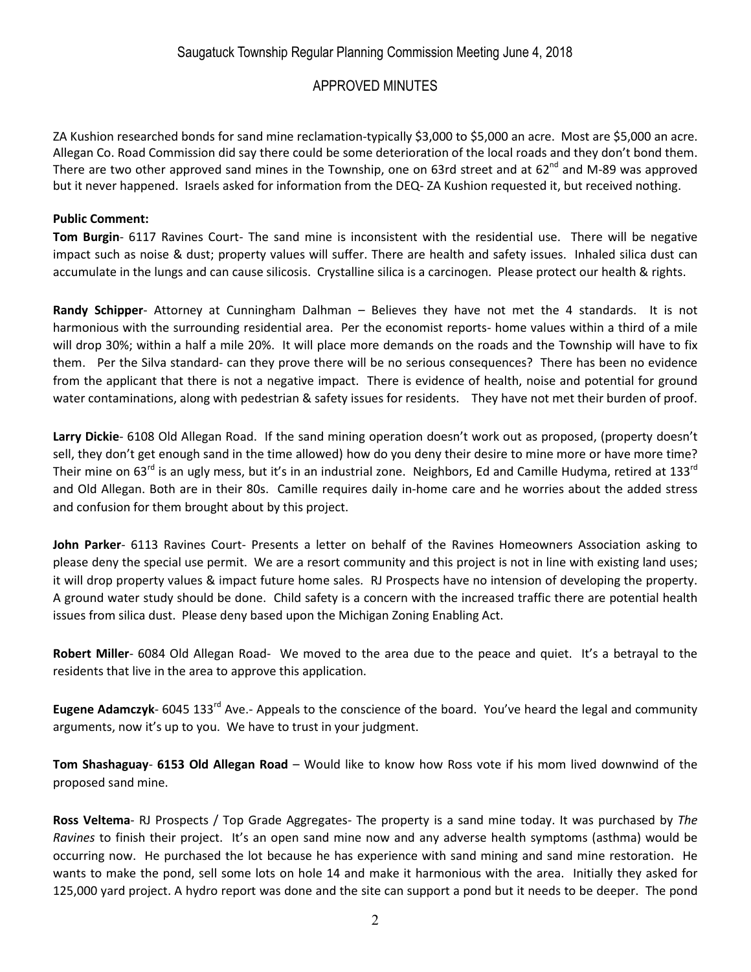ZA Kushion researched bonds for sand mine reclamation-typically \$3,000 to \$5,000 an acre. Most are \$5,000 an acre. Allegan Co. Road Commission did say there could be some deterioration of the local roads and they don't bond them. There are two other approved sand mines in the Township, one on 63rd street and at 62<sup>nd</sup> and M-89 was approved but it never happened. Israels asked for information from the DEQ- ZA Kushion requested it, but received nothing.

### **Public Comment:**

**Tom Burgin**- 6117 Ravines Court- The sand mine is inconsistent with the residential use. There will be negative impact such as noise & dust; property values will suffer. There are health and safety issues. Inhaled silica dust can accumulate in the lungs and can cause silicosis. Crystalline silica is a carcinogen. Please protect our health & rights.

**Randy Schipper**- Attorney at Cunningham Dalhman – Believes they have not met the 4 standards. It is not harmonious with the surrounding residential area. Per the economist reports- home values within a third of a mile will drop 30%; within a half a mile 20%. It will place more demands on the roads and the Township will have to fix them. Per the Silva standard- can they prove there will be no serious consequences? There has been no evidence from the applicant that there is not a negative impact. There is evidence of health, noise and potential for ground water contaminations, along with pedestrian & safety issues for residents. They have not met their burden of proof.

**Larry Dickie**- 6108 Old Allegan Road. If the sand mining operation doesn't work out as proposed, (property doesn't sell, they don't get enough sand in the time allowed) how do you deny their desire to mine more or have more time? Their mine on 63<sup>rd</sup> is an ugly mess, but it's in an industrial zone. Neighbors, Ed and Camille Hudyma, retired at 133<sup>rd</sup> and Old Allegan. Both are in their 80s. Camille requires daily in-home care and he worries about the added stress and confusion for them brought about by this project.

**John Parker**- 6113 Ravines Court- Presents a letter on behalf of the Ravines Homeowners Association asking to please deny the special use permit. We are a resort community and this project is not in line with existing land uses; it will drop property values & impact future home sales. RJ Prospects have no intension of developing the property. A ground water study should be done. Child safety is a concern with the increased traffic there are potential health issues from silica dust. Please deny based upon the Michigan Zoning Enabling Act.

**Robert Miller**- 6084 Old Allegan Road- We moved to the area due to the peace and quiet. It's a betrayal to the residents that live in the area to approve this application.

Eugene Adamczyk- 6045 133<sup>rd</sup> Ave.- Appeals to the conscience of the board. You've heard the legal and community arguments, now it's up to you. We have to trust in your judgment.

**Tom Shashaguay**- **6153 Old Allegan Road** – Would like to know how Ross vote if his mom lived downwind of the proposed sand mine.

**Ross Veltema**- RJ Prospects / Top Grade Aggregates- The property is a sand mine today. It was purchased by *The Ravines* to finish their project. It's an open sand mine now and any adverse health symptoms (asthma) would be occurring now. He purchased the lot because he has experience with sand mining and sand mine restoration. He wants to make the pond, sell some lots on hole 14 and make it harmonious with the area. Initially they asked for 125,000 yard project. A hydro report was done and the site can support a pond but it needs to be deeper. The pond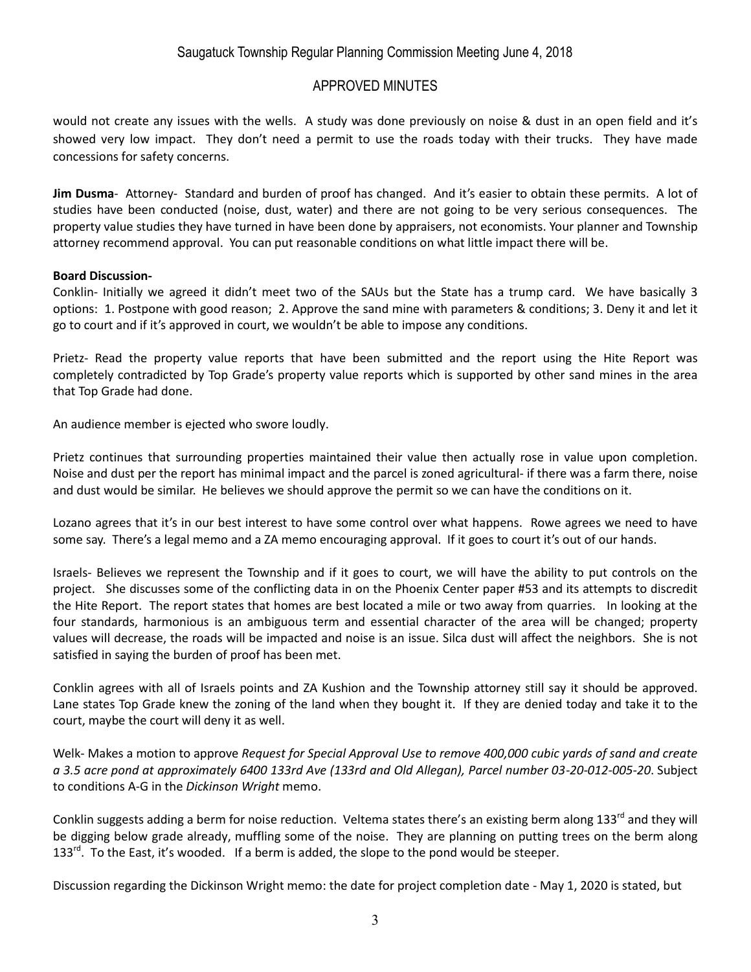### Saugatuck Township Regular Planning Commission Meeting June 4, 2018

### APPROVED MINUTES

would not create any issues with the wells. A study was done previously on noise & dust in an open field and it's showed very low impact. They don't need a permit to use the roads today with their trucks. They have made concessions for safety concerns.

**Jim Dusma**- Attorney- Standard and burden of proof has changed. And it's easier to obtain these permits. A lot of studies have been conducted (noise, dust, water) and there are not going to be very serious consequences. The property value studies they have turned in have been done by appraisers, not economists. Your planner and Township attorney recommend approval. You can put reasonable conditions on what little impact there will be.

#### **Board Discussion-**

Conklin- Initially we agreed it didn't meet two of the SAUs but the State has a trump card. We have basically 3 options: 1. Postpone with good reason; 2. Approve the sand mine with parameters & conditions; 3. Deny it and let it go to court and if it's approved in court, we wouldn't be able to impose any conditions.

Prietz- Read the property value reports that have been submitted and the report using the Hite Report was completely contradicted by Top Grade's property value reports which is supported by other sand mines in the area that Top Grade had done.

An audience member is ejected who swore loudly.

Prietz continues that surrounding properties maintained their value then actually rose in value upon completion. Noise and dust per the report has minimal impact and the parcel is zoned agricultural- if there was a farm there, noise and dust would be similar. He believes we should approve the permit so we can have the conditions on it.

Lozano agrees that it's in our best interest to have some control over what happens. Rowe agrees we need to have some say. There's a legal memo and a ZA memo encouraging approval. If it goes to court it's out of our hands.

Israels- Believes we represent the Township and if it goes to court, we will have the ability to put controls on the project. She discusses some of the conflicting data in on the Phoenix Center paper #53 and its attempts to discredit the Hite Report. The report states that homes are best located a mile or two away from quarries. In looking at the four standards, harmonious is an ambiguous term and essential character of the area will be changed; property values will decrease, the roads will be impacted and noise is an issue. Silca dust will affect the neighbors. She is not satisfied in saying the burden of proof has been met.

Conklin agrees with all of Israels points and ZA Kushion and the Township attorney still say it should be approved. Lane states Top Grade knew the zoning of the land when they bought it. If they are denied today and take it to the court, maybe the court will deny it as well.

Welk- Makes a motion to approve *Request for Special Approval Use to remove 400,000 cubic yards of sand and create a 3.5 acre pond at approximately 6400 133rd Ave (133rd and Old Allegan), Parcel number 03-20-012-005-20*. Subject to conditions A-G in the *Dickinson Wright* memo.

Conklin suggests adding a berm for noise reduction. Veltema states there's an existing berm along 133<sup>rd</sup> and they will be digging below grade already, muffling some of the noise. They are planning on putting trees on the berm along 133 $^{\text{rd}}$ . To the East, it's wooded. If a berm is added, the slope to the pond would be steeper.

Discussion regarding the Dickinson Wright memo: the date for project completion date - May 1, 2020 is stated, but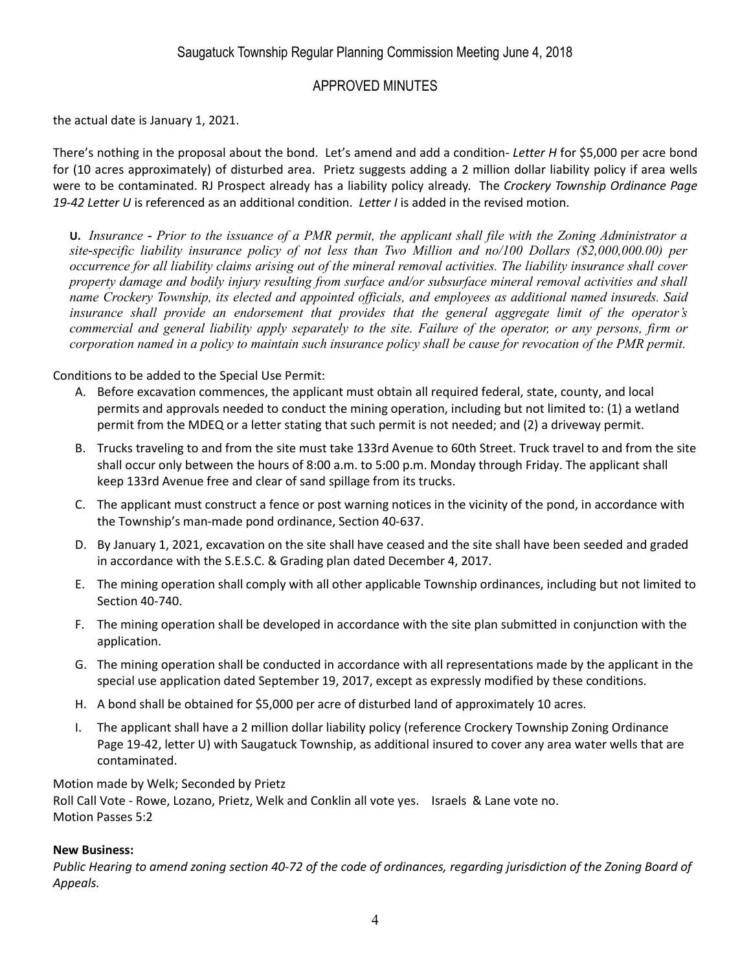the actual date is January 1, 2021.

There's nothing in the proposal about the bond. Let's amend and add a condition- *Letter H* for \$5,000 per acre bond for (10 acres approximately) of disturbed area. Prietz suggests adding a 2 million dollar liability policy if area wells were to be contaminated. RJ Prospect already has a liability policy already. The *Crockery Township Ordinance Page 19-42 Letter U* is referenced as an additional condition. *Letter I* is added in the revised motion.

**U.** *Insurance - Prior to the issuance of a PMR permit, the applicant shall file with the Zoning Administrator a site-specific liability insurance policy of not less than Two Million and no/100 Dollars (\$2,000,000.00) per occurrence for all liability claims arising out of the mineral removal activities. The liability insurance shall cover property damage and bodily injury resulting from surface and/or subsurface mineral removal activities and shall name Crockery Township, its elected and appointed officials, and employees as additional named insureds. Said insurance shall provide an endorsement that provides that the general aggregate limit of the operator's commercial and general liability apply separately to the site. Failure of the operator, or any persons, firm or corporation named in a policy to maintain such insurance policy shall be cause for revocation of the PMR permit.*

Conditions to be added to the Special Use Permit:

- A. Before excavation commences, the applicant must obtain all required federal, state, county, and local permits and approvals needed to conduct the mining operation, including but not limited to: (1) a wetland permit from the MDEQ or a letter stating that such permit is not needed; and (2) a driveway permit.
- B. Trucks traveling to and from the site must take 133rd Avenue to 60th Street. Truck travel to and from the site shall occur only between the hours of 8:00 a.m. to 5:00 p.m. Monday through Friday. The applicant shall keep 133rd Avenue free and clear of sand spillage from its trucks.
- C. The applicant must construct a fence or post warning notices in the vicinity of the pond, in accordance with the Township's man-made pond ordinance, Section 40-637.
- D. By January 1, 2021, excavation on the site shall have ceased and the site shall have been seeded and graded in accordance with the S.E.S.C. & Grading plan dated December 4, 2017.
- E. The mining operation shall comply with all other applicable Township ordinances, including but not limited to Section 40-740.
- F. The mining operation shall be developed in accordance with the site plan submitted in conjunction with the application.
- G. The mining operation shall be conducted in accordance with all representations made by the applicant in the special use application dated September 19, 2017, except as expressly modified by these conditions.
- H. A bond shall be obtained for \$5,000 per acre of disturbed land of approximately 10 acres.
- I. The applicant shall have a 2 million dollar liability policy (reference Crockery Township Zoning Ordinance Page 19-42, letter U) with Saugatuck Township, as additional insured to cover any area water wells that are contaminated.

Motion made by Welk; Seconded by Prietz Roll Call Vote - Rowe, Lozano, Prietz, Welk and Conklin all vote yes. Israels & Lane vote no. Motion Passes 5:2

### **New Business:**

*Public Hearing to amend zoning section 40-72 of the code of ordinances, regarding jurisdiction of the Zoning Board of Appeals.*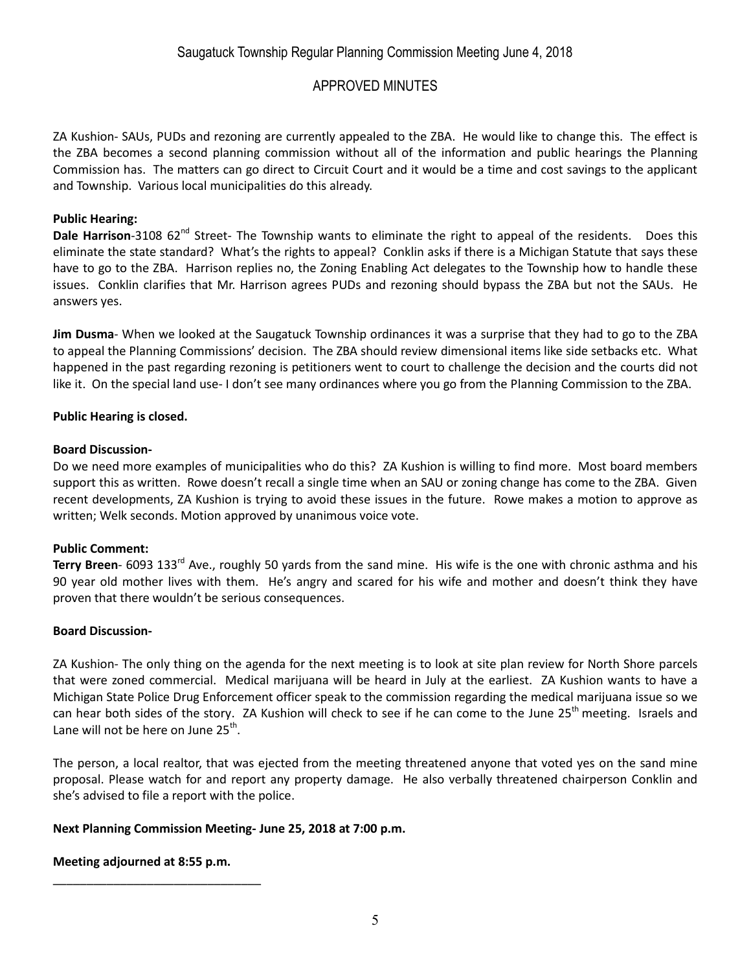ZA Kushion- SAUs, PUDs and rezoning are currently appealed to the ZBA. He would like to change this. The effect is the ZBA becomes a second planning commission without all of the information and public hearings the Planning Commission has. The matters can go direct to Circuit Court and it would be a time and cost savings to the applicant and Township. Various local municipalities do this already.

### **Public Hearing:**

**Dale Harrison**-3108 62<sup>nd</sup> Street- The Township wants to eliminate the right to appeal of the residents. Does this eliminate the state standard? What's the rights to appeal? Conklin asks if there is a Michigan Statute that says these have to go to the ZBA. Harrison replies no, the Zoning Enabling Act delegates to the Township how to handle these issues. Conklin clarifies that Mr. Harrison agrees PUDs and rezoning should bypass the ZBA but not the SAUs. He answers yes.

**Jim Dusma**- When we looked at the Saugatuck Township ordinances it was a surprise that they had to go to the ZBA to appeal the Planning Commissions' decision. The ZBA should review dimensional items like side setbacks etc. What happened in the past regarding rezoning is petitioners went to court to challenge the decision and the courts did not like it. On the special land use- I don't see many ordinances where you go from the Planning Commission to the ZBA.

### **Public Hearing is closed.**

### **Board Discussion-**

Do we need more examples of municipalities who do this? ZA Kushion is willing to find more. Most board members support this as written. Rowe doesn't recall a single time when an SAU or zoning change has come to the ZBA. Given recent developments, ZA Kushion is trying to avoid these issues in the future. Rowe makes a motion to approve as written; Welk seconds. Motion approved by unanimous voice vote.

### **Public Comment:**

Terry Breen- 6093 133<sup>rd</sup> Ave., roughly 50 yards from the sand mine. His wife is the one with chronic asthma and his 90 year old mother lives with them. He's angry and scared for his wife and mother and doesn't think they have proven that there wouldn't be serious consequences.

### **Board Discussion-**

ZA Kushion- The only thing on the agenda for the next meeting is to look at site plan review for North Shore parcels that were zoned commercial. Medical marijuana will be heard in July at the earliest. ZA Kushion wants to have a Michigan State Police Drug Enforcement officer speak to the commission regarding the medical marijuana issue so we can hear both sides of the story. ZA Kushion will check to see if he can come to the June 25<sup>th</sup> meeting. Israels and Lane will not be here on June 25<sup>th</sup>.

The person, a local realtor, that was ejected from the meeting threatened anyone that voted yes on the sand mine proposal. Please watch for and report any property damage. He also verbally threatened chairperson Conklin and she's advised to file a report with the police.

### **Next Planning Commission Meeting- June 25, 2018 at 7:00 p.m.**

### **Meeting adjourned at 8:55 p.m.**

\_\_\_\_\_\_\_\_\_\_\_\_\_\_\_\_\_\_\_\_\_\_\_\_\_\_\_\_\_\_\_